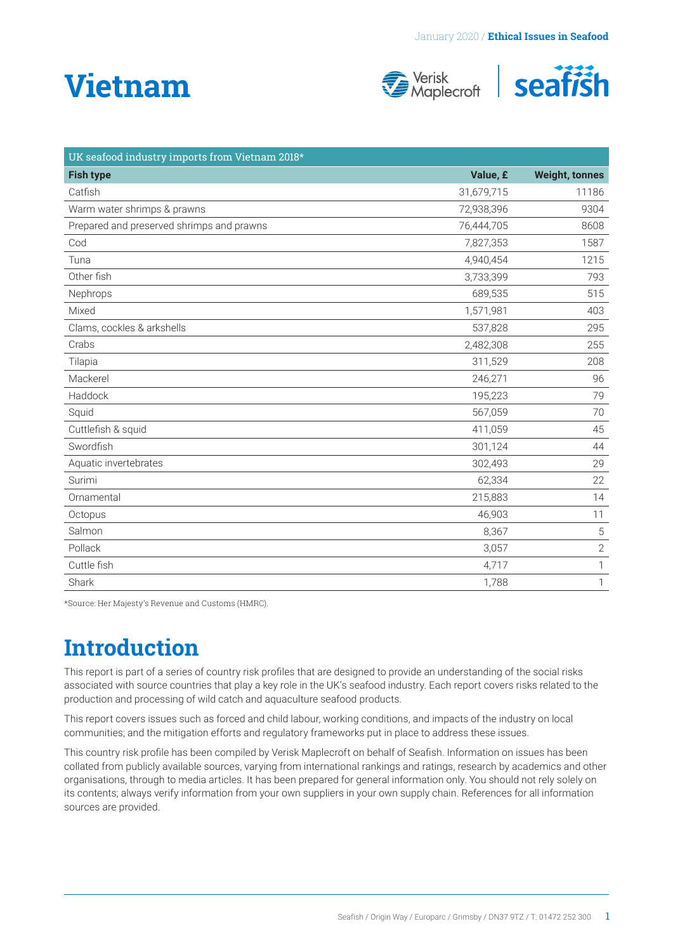# **Vietnam**





| UK seafood industry imports from Vietnam 2018* |            |                       |
|------------------------------------------------|------------|-----------------------|
| <b>Fish type</b>                               | Value, £   | <b>Weight, tonnes</b> |
| Catfish                                        | 31,679,715 | 11186                 |
| Warm water shrimps & prawns                    | 72,938,396 | 9304                  |
| Prepared and preserved shrimps and prawns      | 76,444,705 | 8608                  |
| Cod                                            | 7,827,353  | 1587                  |
| Tuna                                           | 4,940,454  | 1215                  |
| Other fish                                     | 3,733,399  | 793                   |
| Nephrops                                       | 689,535    | 515                   |
| Mixed                                          | 1,571,981  | 403                   |
| Clams, cockles & arkshells                     | 537,828    | 295                   |
| Crabs                                          | 2,482,308  | 255                   |
| Tilapia                                        | 311,529    | 208                   |
| Mackerel                                       | 246,271    | 96                    |
| Haddock                                        | 195,223    | 79                    |
| Squid                                          | 567,059    | 70                    |
| Cuttlefish & squid                             | 411,059    | 45                    |
| Swordfish                                      | 301,124    | 44                    |
| Aquatic invertebrates                          | 302,493    | 29                    |
| Surimi                                         | 62,334     | 22                    |
| Ornamental                                     | 215,883    | 14                    |
| Octopus                                        | 46,903     | 11                    |
| Salmon                                         | 8,367      | $\mathbf 5$           |
| Pollack                                        | 3,057      | $\sqrt{2}$            |
| Cuttle fish                                    | 4,717      | 1                     |
| Shark                                          | 1,788      | 1                     |

\*Source: Her Majesty's Revenue and Customs (HMRC).

### **Introduction**

This report is part of a series of country risk profiles that are designed to provide an understanding of the social risks associated with source countries that play a key role in the UK's seafood industry. Each report covers risks related to the production and processing of wild catch and aquaculture seafood products.

This report covers issues such as forced and child labour, working conditions, and impacts of the industry on local communities; and the mitigation efforts and regulatory frameworks put in place to address these issues.

This country risk profile has been compiled by Verisk Maplecroft on behalf of Seafish. Information on issues has been collated from publicly available sources, varying from international rankings and ratings, research by academics and other organisations, through to media articles. It has been prepared for general information only. You should not rely solely on its contents; always verify information from your own suppliers in your own supply chain. References for all information sources are provided.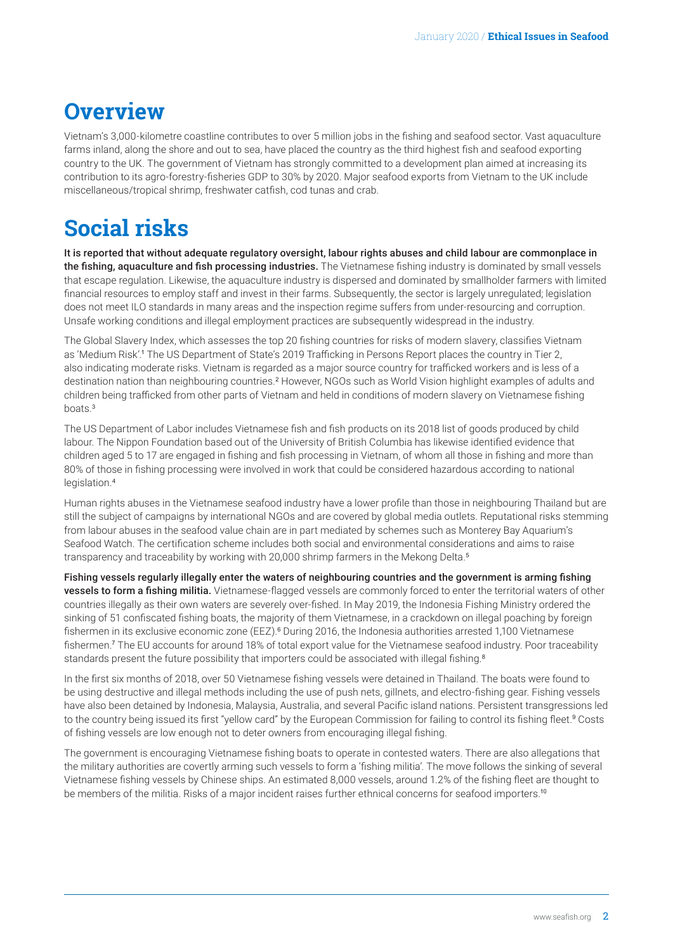### <span id="page-1-0"></span>**Overview**

Vietnam's 3,000-kilometre coastline contributes to over 5 million jobs in the fishing and seafood sector. Vast aquaculture farms inland, along the shore and out to sea, have placed the country as the third highest fish and seafood exporting country to the UK. The government of Vietnam has strongly committed to a development plan aimed at increasing its contribution to its agro-forestry-fisheries GDP to 30% by 2020. Major seafood exports from Vietnam to the UK include miscellaneous/tropical shrimp, freshwater catfish, cod tunas and crab.

### **Social risks**

It is reported that without adequate regulatory oversight, labour rights abuses and child labour are commonplace in the fishing, aquaculture and fish processing industries. The Vietnamese fishing industry is dominated by small vessels that escape regulation. Likewise, the aquaculture industry is dispersed and dominated by smallholder farmers with limited financial resources to employ staff and invest in their farms. Subsequently, the sector is largely unregulated; legislation does not meet ILO standards in many areas and the inspection regime suffers from under-resourcing and corruption. Unsafe working conditions and illegal employment practices are subsequently widespread in the industry.

The Global Slavery Index, which assesses the top 20 fishing countries for risks of modern slavery, classifies Vietnam as 'Medium Risk'.[1](#page-4-0) The US Department of State's 2019 Trafficking in Persons Report places the country in Tier 2, also indicating moderate risks. Vietnam is regarded as a major source country for trafficked workers and is less of a destination nation than neighbouring countries.<sup>[2](#page-4-0)</sup> However, NGOs such as World Vision highlight examples of adults and children being trafficked from other parts of Vietnam and held in conditions of modern slavery on Vietnamese fishing boats.[3](#page-4-0)

The US Department of Labor includes Vietnamese fish and fish products on its 2018 list of goods produced by child labour. The Nippon Foundation based out of the University of British Columbia has likewise identified evidence that children aged 5 to 17 are engaged in fishing and fish processing in Vietnam, of whom all those in fishing and more than 80% of those in fishing processing were involved in work that could be considered hazardous according to national legislation.[4](#page-4-0)

Human rights abuses in the Vietnamese seafood industry have a lower profile than those in neighbouring Thailand but are still the subject of campaigns by international NGOs and are covered by global media outlets. Reputational risks stemming from labour abuses in the seafood value chain are in part mediated by schemes such as Monterey Bay Aquarium's Seafood Watch. The certification scheme includes both social and environmental considerations and aims to raise transparency and traceability by working with 20,000 shrimp farmers in the Mekong Delta.<sup>[5](#page-4-0)</sup>

Fishing vessels regularly illegally enter the waters of neighbouring countries and the government is arming fishing vessels to form a fishing militia. Vietnamese-flagged vessels are commonly forced to enter the territorial waters of other countries illegally as their own waters are severely over-fished. In May 2019, the Indonesia Fishing Ministry ordered the sinking of 51 confiscated fishing boats, the majority of them Vietnamese, in a crackdown on illegal poaching by foreign fishermen in its exclusive economic zone (EEZ).<sup>[6](#page-4-0)</sup> During 2016, the Indonesia authorities arrested 1,100 Vietnamese fishermen.[7](#page-4-0) The EU accounts for around 18% of total export value for the Vietnamese seafood industry. Poor traceability standards present the future possibility that importers could be associated with illegal fishing.<sup>[8](#page-4-0)</sup>

In the first six months of 2018, over 50 Vietnamese fishing vessels were detained in Thailand. The boats were found to be using destructive and illegal methods including the use of push nets, gillnets, and electro-fishing gear. Fishing vessels have also been detained by Indonesia, Malaysia, Australia, and several Pacific island nations. Persistent transgressions led to the country being issued its first "yellow card" by the European Commission for failing to control its fishing fleet.[9](#page-4-0) Costs of fishing vessels are low enough not to deter owners from encouraging illegal fishing.

The government is encouraging Vietnamese fishing boats to operate in contested waters. There are also allegations that the military authorities are covertly arming such vessels to form a 'fishing militia'. The move follows the sinking of several Vietnamese fishing vessels by Chinese ships. An estimated 8,000 vessels, around 1.2% of the fishing fleet are thought to be members of the militia. Risks of a major incident raises further ethnical concerns for seafood importers.<sup>[10](#page-4-0)</sup>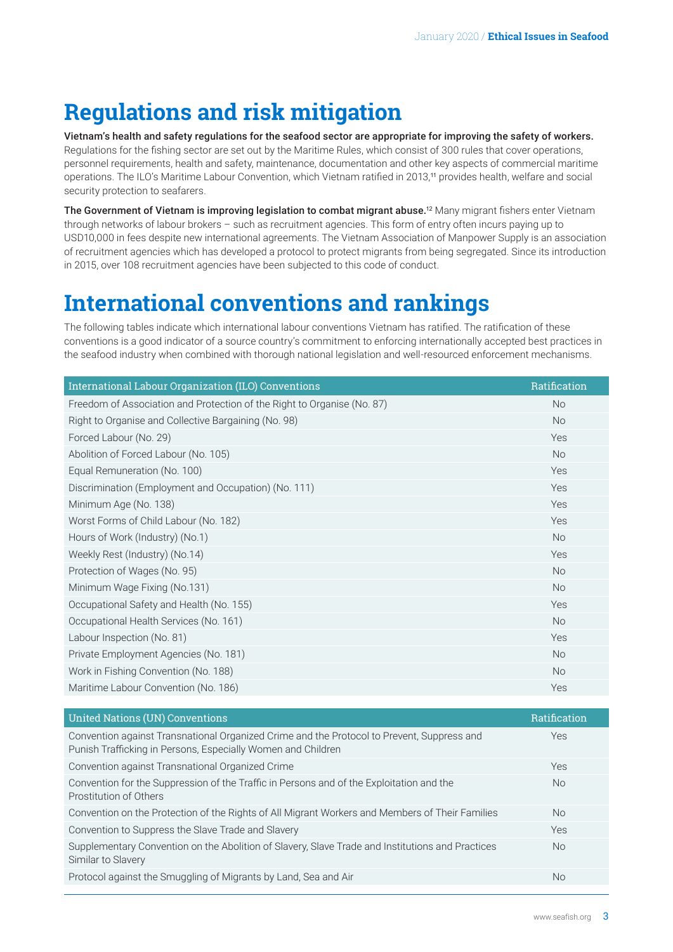## <span id="page-2-0"></span>**Regulations and risk mitigation**

Vietnam's health and safety regulations for the seafood sector are appropriate for improving the safety of workers. Regulations for the fishing sector are set out by the Maritime Rules, which consist of 300 rules that cover operations, personnel requirements, health and safety, maintenance, documentation and other key aspects of commercial maritime operations. The ILO's Maritime Labour Convention, which Vietnam ratified in 2013,[11](#page-4-0) provides health, welfare and social security protection to seafarers.

The Government of Vietnam is improving legislation to combat migrant abuse.<sup>[12](#page-4-0)</sup> Many migrant fishers enter Vietnam through networks of labour brokers – such as recruitment agencies. This form of entry often incurs paying up to USD10,000 in fees despite new international agreements. The Vietnam Association of Manpower Supply is an association of recruitment agencies which has developed a protocol to protect migrants from being segregated. Since its introduction in 2015, over 108 recruitment agencies have been subjected to this code of conduct.

### **International conventions and rankings**

The following tables indicate which international labour conventions Vietnam has ratified. The ratification of these conventions is a good indicator of a source country's commitment to enforcing internationally accepted best practices in the seafood industry when combined with thorough national legislation and well-resourced enforcement mechanisms.

| International Labour Organization (ILO) Conventions                     | Ratification |
|-------------------------------------------------------------------------|--------------|
| Freedom of Association and Protection of the Right to Organise (No. 87) | <b>No</b>    |
| Right to Organise and Collective Bargaining (No. 98)                    | <b>No</b>    |
| Forced Labour (No. 29)                                                  | Yes          |
| Abolition of Forced Labour (No. 105)                                    | <b>No</b>    |
| Equal Remuneration (No. 100)                                            | Yes          |
| Discrimination (Employment and Occupation) (No. 111)                    | Yes          |
| Minimum Age (No. 138)                                                   | Yes          |
| Worst Forms of Child Labour (No. 182)                                   | Yes          |
| Hours of Work (Industry) (No.1)                                         | <b>No</b>    |
| Weekly Rest (Industry) (No.14)                                          | Yes          |
| Protection of Wages (No. 95)                                            | <b>No</b>    |
| Minimum Wage Fixing (No.131)                                            | <b>No</b>    |
| Occupational Safety and Health (No. 155)                                | Yes          |
| Occupational Health Services (No. 161)                                  | <b>No</b>    |
| Labour Inspection (No. 81)                                              | Yes          |
| Private Employment Agencies (No. 181)                                   | <b>No</b>    |
| Work in Fishing Convention (No. 188)                                    | <b>No</b>    |
| Maritime Labour Convention (No. 186)                                    | Yes          |

| <b>United Nations (UN) Conventions</b>                                                                                                                     | <b>Ratification</b> |
|------------------------------------------------------------------------------------------------------------------------------------------------------------|---------------------|
| Convention against Transnational Organized Crime and the Protocol to Prevent, Suppress and<br>Punish Trafficking in Persons, Especially Women and Children | <b>Yes</b>          |
| Convention against Transnational Organized Crime                                                                                                           | <b>Yes</b>          |
| Convention for the Suppression of the Traffic in Persons and of the Exploitation and the<br>Prostitution of Others                                         | <b>No</b>           |
| Convention on the Protection of the Rights of All Migrant Workers and Members of Their Families                                                            | <b>No</b>           |
| Convention to Suppress the Slave Trade and Slavery                                                                                                         | Yes                 |
| Supplementary Convention on the Abolition of Slavery, Slave Trade and Institutions and Practices<br>Similar to Slavery                                     | <b>No</b>           |
| Protocol against the Smuggling of Migrants by Land, Sea and Air                                                                                            | <b>No</b>           |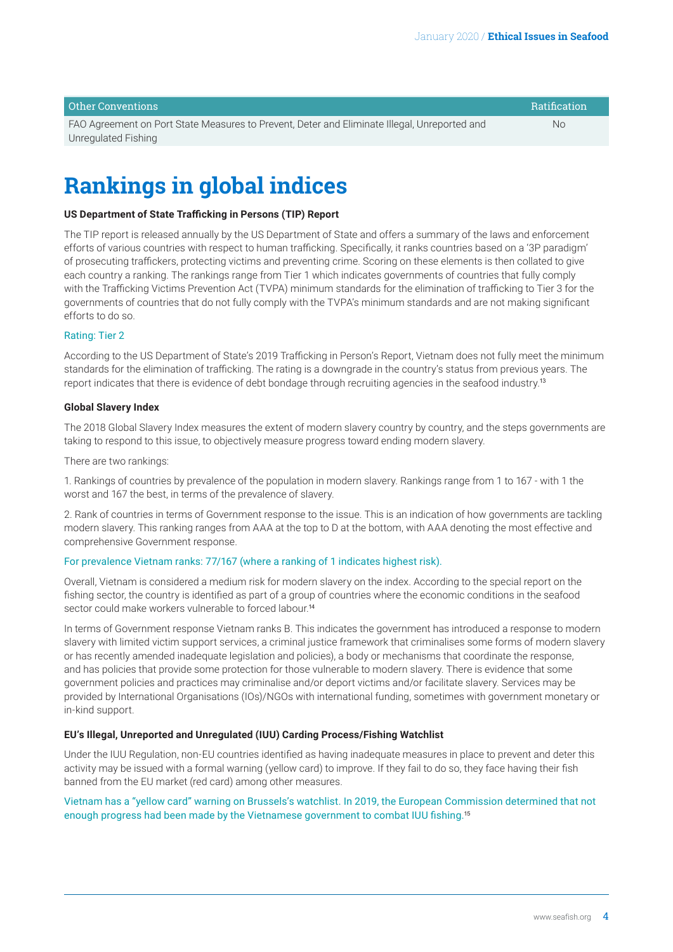<span id="page-3-0"></span>

| Other Conventions                                                                            | <b>Ratification</b> |
|----------------------------------------------------------------------------------------------|---------------------|
| FAO Agreement on Port State Measures to Prevent, Deter and Eliminate Illegal, Unreported and | No.                 |
| Unregulated Fishing                                                                          |                     |

### **Rankings in global indices**

#### **US Department of State Trafficking in Persons (TIP) Report**

The TIP report is released annually by the US Department of State and offers a summary of the laws and enforcement efforts of various countries with respect to human trafficking. Specifically, it ranks countries based on a '3P paradigm' of prosecuting traffickers, protecting victims and preventing crime. Scoring on these elements is then collated to give each country a ranking. The rankings range from Tier 1 which indicates governments of countries that fully comply with the Trafficking Victims Prevention Act (TVPA) minimum standards for the elimination of trafficking to Tier 3 for the governments of countries that do not fully comply with the TVPA's minimum standards and are not making significant efforts to do so.

#### Rating: Tier 2

According to the US Department of State's 2019 Trafficking in Person's Report, Vietnam does not fully meet the minimum standards for the elimination of trafficking. The rating is a downgrade in the country's status from previous years. The report indicates that there is evidence of debt bondage through recruiting agencies in the seafood industry.[13](#page-4-0)

#### **Global Slavery Index**

The 2018 Global Slavery Index measures the extent of modern slavery country by country, and the steps governments are taking to respond to this issue, to objectively measure progress toward ending modern slavery.

There are two rankings:

1. Rankings of countries by prevalence of the population in modern slavery. Rankings range from 1 to 167 - with 1 the worst and 167 the best, in terms of the prevalence of slavery.

2. Rank of countries in terms of Government response to the issue. This is an indication of how governments are tackling modern slavery. This ranking ranges from AAA at the top to D at the bottom, with AAA denoting the most effective and comprehensive Government response.

#### For prevalence Vietnam ranks: 77/167 (where a ranking of 1 indicates highest risk).

Overall, Vietnam is considered a medium risk for modern slavery on the index. According to the special report on the fishing sector, the country is identified as part of a group of countries where the economic conditions in the seafood sector could make workers vulnerable to forced labour.<sup>[14](#page-4-0)</sup>

In terms of Government response Vietnam ranks B. This indicates the government has introduced a response to modern slavery with limited victim support services, a criminal justice framework that criminalises some forms of modern slavery or has recently amended inadequate legislation and policies), a body or mechanisms that coordinate the response, and has policies that provide some protection for those vulnerable to modern slavery. There is evidence that some government policies and practices may criminalise and/or deport victims and/or facilitate slavery. Services may be provided by International Organisations (IOs)/NGOs with international funding, sometimes with government monetary or in-kind support.

#### **EU's Illegal, Unreported and Unregulated (IUU) Carding Process/Fishing Watchlist**

Under the IUU Regulation, non-EU countries identified as having inadequate measures in place to prevent and deter this activity may be issued with a formal warning (yellow card) to improve. If they fail to do so, they face having their fish banned from the EU market (red card) among other measures.

#### Vietnam has a "yellow card" warning on Brussels's watchlist. In 2019, the European Commission determined that not enough progress had been made by the Vietnamese government to combat IUU fishing.[15](#page-4-0)